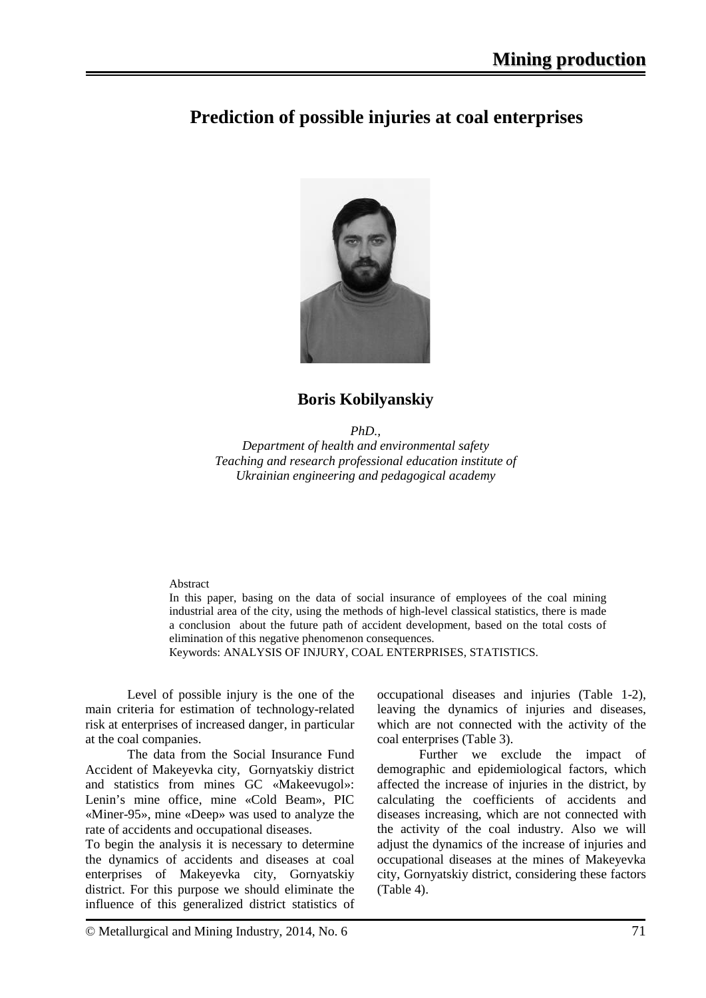# **Prediction of possible injuries at coal enterprises**



## **Boris Kobilyanskiy**

*PhD.,*

*Department of health and environmental safety Teaching and research professional education institute of Ukrainian engineering and pedagogical academy*

### Abstract

In this paper, basing on the data of social insurance of employees of the coal mining industrial area of the city, using the methods of high-level classical statistics, there is made a conclusion about the future path of accident development, based on the total costs of elimination of this negative phenomenon consequences.

Кeywords: ANALYSIS OF INJURY, COAL ENTERPRISES, STATISTICS.

Level of possible injury is the one of the main criteria for estimation of technology-related risk at enterprises of increased danger, in particular at the coal companies.

The data from the Social Insurance Fund Accident of Makeyevka city, Gornyatskiy district and statistics from mines GC «Makeevugol»: Lenin's mine office, mine «Cold Beam», PIC «Miner-95», mine «Deep» was used to analyze the rate of accidents and occupational diseases.

To begin the analysis it is necessary to determine the dynamics of accidents and diseases at coal enterprises of Makeyevka city, Gornyatskiy district. For this purpose we should eliminate the influence of this generalized district statistics of occupational diseases and injuries (Table 1-2), leaving the dynamics of injuries and diseases, which are not connected with the activity of the coal enterprises (Table 3).

Further we exclude the impact of demographic and epidemiological factors, which affected the increase of injuries in the district, by calculating the coefficients of accidents and diseases increasing, which are not connected with the activity of the coal industry. Also we will adjust the dynamics of the increase of injuries and occupational diseases at the mines of Makeyevka city, Gornyatskiy district, considering these factors (Table 4).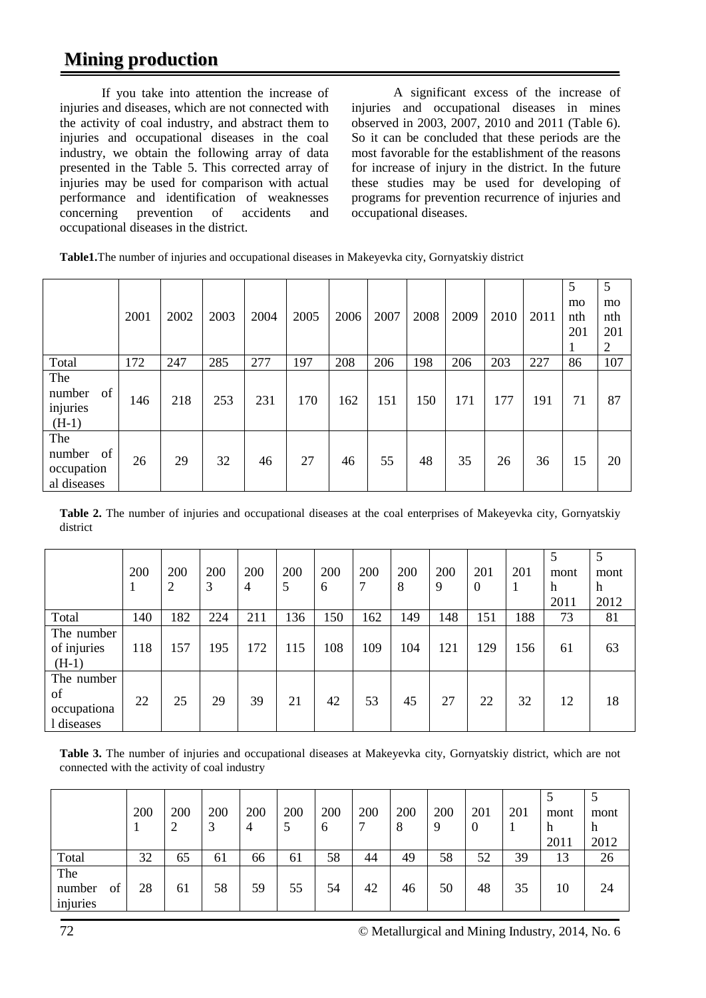# **Mining production**

If you take into attention the increase of injuries and diseases, which are not connected with the activity of coal industry, and abstract them to injuries and occupational diseases in the coal industry, we obtain the following array of data presented in the Table 5. This corrected array of injuries may be used for comparison with actual performance and identification of weaknesses concerning prevention of accidents and occupational diseases in the district.

A significant excess of the increase of injuries and occupational diseases in mines observed in 2003, 2007, 2010 and 2011 (Table 6). So it can be concluded that these periods are the most favorable for the establishment of the reasons for increase of injury in the district. In the future these studies may be used for developing of programs for prevention recurrence of injuries and occupational diseases.

|                                                  | 2001 | 2002 | 2003 | 2004 | 2005 | 2006 | 2007 | 2008 | 2009 | 2010 | 2011 | 5<br>mo<br>nth<br>201 | 5<br>mo<br>nth<br>201<br>2 |
|--------------------------------------------------|------|------|------|------|------|------|------|------|------|------|------|-----------------------|----------------------------|
| Total                                            | 172  | 247  | 285  | 277  | 197  | 208  | 206  | 198  | 206  | 203  | 227  | 86                    | 107                        |
| The<br>of<br>number<br>injuries<br>$(H-1)$       | 146  | 218  | 253  | 231  | 170  | 162  | 151  | 150  | 171  | 177  | 191  | 71                    | 87                         |
| The<br>of<br>number<br>occupation<br>al diseases | 26   | 29   | 32   | 46   | 27   | 46   | 55   | 48   | 35   | 26   | 36   | 15                    | 20                         |

**Table 2.** The number of injuries and occupational diseases at the coal enterprises of Makeyevka city, Gornyatskiy district

|                                               | 200 | 200<br>2 | 200<br>3 | 200<br>$\overline{4}$ | 200<br>5 | 200<br>6 | 200<br>7 | 200<br>8 | 200<br>9 | 201<br>$\theta$ | 201 | 5<br>mont<br>h<br>2011 | 5<br>mont<br>h<br>2012 |
|-----------------------------------------------|-----|----------|----------|-----------------------|----------|----------|----------|----------|----------|-----------------|-----|------------------------|------------------------|
| Total                                         | 140 | 182      | 224      | 211                   | 136      | 150      | 162      | 149      | 148      | 151             | 188 | 73                     | 81                     |
| The number<br>of injuries<br>$(H-1)$          | 118 | 157      | 195      | 172                   | 115      | 108      | 109      | 104      | 121      | 129             | 156 | 61                     | 63                     |
| The number<br>of<br>occupationa<br>1 diseases | 22  | 25       | 29       | 39                    | 21       | 42       | 53       | 45       | 27       | 22              | 32  | 12                     | 18                     |

**Table 3.** The number of injuries and occupational diseases at Makeyevka city, Gornyatskiy district, which are not connected with the activity of coal industry

|                           |    | 200 | 200 | 200<br>$\mathbf{\Omega}$ | 200<br>4 | 200<br>5 | 200<br>6 | 200<br>⇁ | 200<br>8 | 200<br>9 | 201<br>$\overline{0}$ | 201 | mont<br>h<br>2011 | mont<br>h<br>2012 |
|---------------------------|----|-----|-----|--------------------------|----------|----------|----------|----------|----------|----------|-----------------------|-----|-------------------|-------------------|
| Total                     |    | 32  | 65  | 61                       | 66       | 61       | 58       | 44       | 49       | 58       | 52                    | 39  | 13                | 26                |
| The<br>number<br>injuries | of | 28  | 61  | 58                       | 59       | 55       | 54       | 42       | 46       | 50       | 48                    | 35  | 10                | 24                |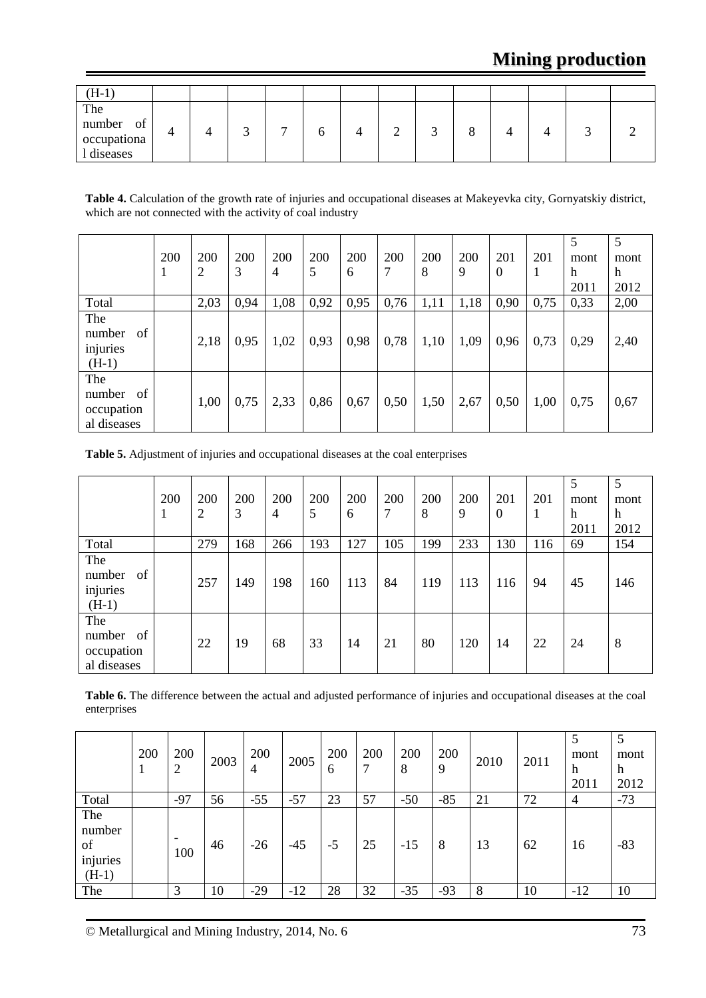| $(H-1)$                                          |  |   |  |   |  |  |  |
|--------------------------------------------------|--|---|--|---|--|--|--|
| The<br>number<br>of<br>occupationa<br>l diseases |  | ᠆ |  | ↩ |  |  |  |

**Table 4.** Calculation of the growth rate of injuries and occupational diseases at Makeyevka city, Gornyatskiy district, which are not connected with the activity of coal industry

|                                                  | 200 | 200<br>2 | 200<br>3 | 200<br>$\overline{4}$ | 200<br>5 | 200<br>6 | 200<br>7 | 200<br>8 | 200<br>9 | 201<br>$\theta$ | 201  | 5<br>mont<br>h<br>2011 | 5<br>mont<br>h<br>2012 |
|--------------------------------------------------|-----|----------|----------|-----------------------|----------|----------|----------|----------|----------|-----------------|------|------------------------|------------------------|
| Total                                            |     | 2,03     | 0,94     | 1,08                  | 0,92     | 0,95     | 0,76     | 1,11     | 1,18     | 0,90            | 0,75 | 0,33                   | 2,00                   |
| The<br>of<br>number<br>injuries<br>$(H-1)$       |     | 2,18     | 0,95     | 1,02                  | 0,93     | 0,98     | 0,78     | 1,10     | 1,09     | 0,96            | 0,73 | 0,29                   | 2,40                   |
| The<br>number<br>of<br>occupation<br>al diseases |     | 1,00     | 0,75     | 2,33                  | 0,86     | 0,67     | 0,50     | 1,50     | 2,67     | 0,50            | 1,00 | 0,75                   | 0,67                   |

**Table 5.** Adjustment of injuries and occupational diseases at the coal enterprises

|                                                  | 200<br>л | 200<br>2 | 200<br>3 | 200<br>$\overline{4}$ | 200<br>5 | 200<br>6 | 200<br>7 | 200<br>8 | 200<br>9 | 201<br>$\theta$ | 201<br>1 | 5<br>mont<br>h<br>2011 | 5<br>mont<br>$\boldsymbol{\mathrm{h}}$<br>2012 |
|--------------------------------------------------|----------|----------|----------|-----------------------|----------|----------|----------|----------|----------|-----------------|----------|------------------------|------------------------------------------------|
| Total                                            |          | 279      | 168      | 266                   | 193      | 127      | 105      | 199      | 233      | 130             | 116      | 69                     | 154                                            |
| The<br>of<br>number<br>injuries<br>$(H-1)$       |          | 257      | 149      | 198                   | 160      | 113      | 84       | 119      | 113      | 116             | 94       | 45                     | 146                                            |
| The<br>number<br>of<br>occupation<br>al diseases |          | 22       | 19       | 68                    | 33       | 14       | 21       | 80       | 120      | 14              | 22       | 24                     | 8                                              |

| Table 6. The difference between the actual and adjusted performance of injuries and occupational diseases at the coal |
|-----------------------------------------------------------------------------------------------------------------------|
| enterprises                                                                                                           |

|                                            | 200 | 200<br>$\overline{2}$ | 2003 | 200<br>4 | 2005  | 200<br>6 | 200<br>7 | 200<br>8 | 200<br>9 | 2010 | 2011 | mont<br>h<br>2011 | mont<br>h<br>2012 |
|--------------------------------------------|-----|-----------------------|------|----------|-------|----------|----------|----------|----------|------|------|-------------------|-------------------|
| Total                                      |     | $-97$                 | 56   | $-55$    | $-57$ | 23       | 57       | $-50$    | $-85$    | 21   | 72   | $\overline{4}$    | $-73$             |
| The<br>number<br>of<br>injuries<br>$(H-1)$ |     | 100                   | 46   | $-26$    | $-45$ | $-5$     | 25       | $-15$    | 8        | 13   | 62   | 16                | $-83$             |
| The                                        |     | 3                     | 10   | $-29$    | -12   | 28       | 32       | $-35$    | $-93$    | 8    | 10   | $-12$             | 10                |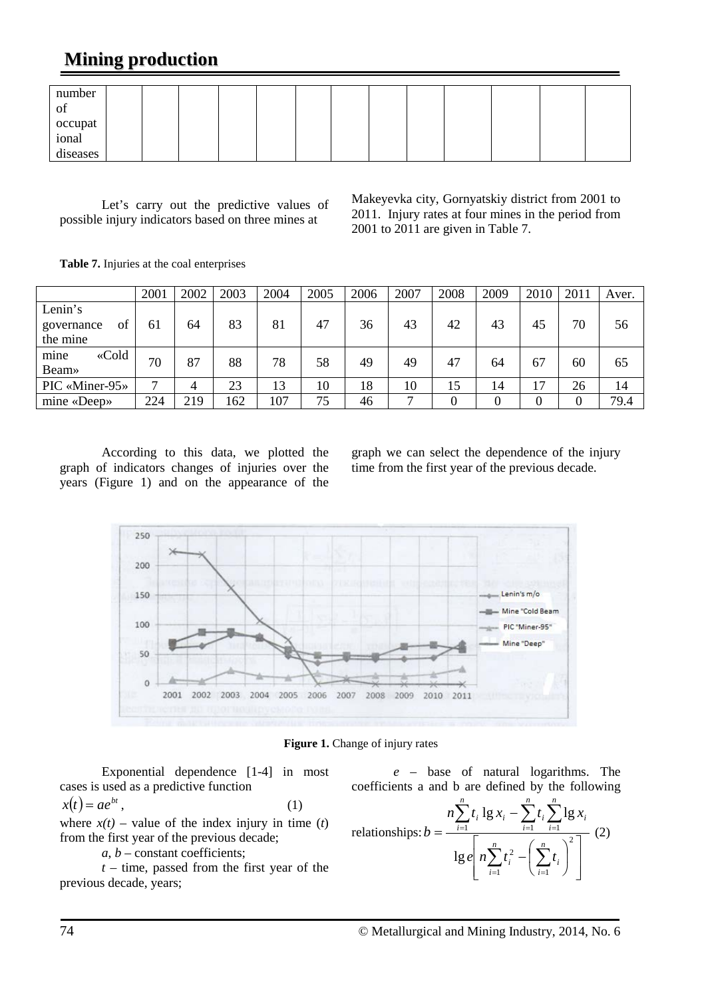# **Mining production**

| number                       |  |  |  |  |  |  |  |
|------------------------------|--|--|--|--|--|--|--|
| ОI                           |  |  |  |  |  |  |  |
|                              |  |  |  |  |  |  |  |
| occupat<br>ional<br>diseases |  |  |  |  |  |  |  |
|                              |  |  |  |  |  |  |  |

Let's carry out the predictive values of possible injury indicators based on three mines at

Makeyevka city, Gornyatskiy district from 2001 to 2011. Injury rates at four mines in the period from 2001 to 2011 are given in Table 7.

**Table 7.** Injuries at the coal enterprises

|                  | 2001         | 2002 | 2003 | 2004 | 2005 | 2006 | 2007 | 2008 | 2009 | 2010 | 2011     | Aver. |
|------------------|--------------|------|------|------|------|------|------|------|------|------|----------|-------|
| Lenin's          |              |      |      |      |      |      |      |      |      |      |          |       |
| governance<br>ΟÌ | -61          | 64   | 83   | 81   | 47   | 36   | 43   | 42   | 43   | 45   | 70       | 56    |
| the mine         |              |      |      |      |      |      |      |      |      |      |          |       |
| «Cold<br>mine    | 70           | 87   | 88   | 78   | 58   | 49   | 49   | 47   | 64   | 67   | 60       | 65    |
| Beam»            |              |      |      |      |      |      |      |      |      |      |          |       |
| PIC «Miner-95»   | $\mathbf{r}$ | 4    | 23   | 13   | 10   | 18   | 10   | 15   | 14   | 17   | 26       | 14    |
| mine «Deep»      | 224          | 219  | 162  | 107  | 75   | 46   | ⇁    |      |      |      | $\theta$ | 79.4  |

According to this data, we plotted the graph of indicators changes of injuries over the years (Figure 1) and on the appearance of the graph we can select the dependence of the injury time from the first year of the previous decade.



**Figure 1.** Change of injury rates

Exponential dependence [1-4] in most cases is used as a predictive function  $x(t) = ae^{bt}$ , (1)

where  $x(t)$  – value of the index injury in time (*t*) from the first year of the previous decade;

*a*, *b* – constant coefficients;

*t* – time, passed from the first year of the previous decade, years;

$$
e -
$$
 base of natural logarithms. The coefficients a and b are defined by the following

$$
\text{relations} \text{hips: } b = \frac{n \sum_{i=1}^{n} t_i \lg x_i - \sum_{i=1}^{n} t_i \sum_{i=1}^{n} \lg x_i}{\lg e \left[ n \sum_{i=1}^{n} t_i^2 - \left( \sum_{i=1}^{n} t_i \right)^2 \right]} \tag{2}
$$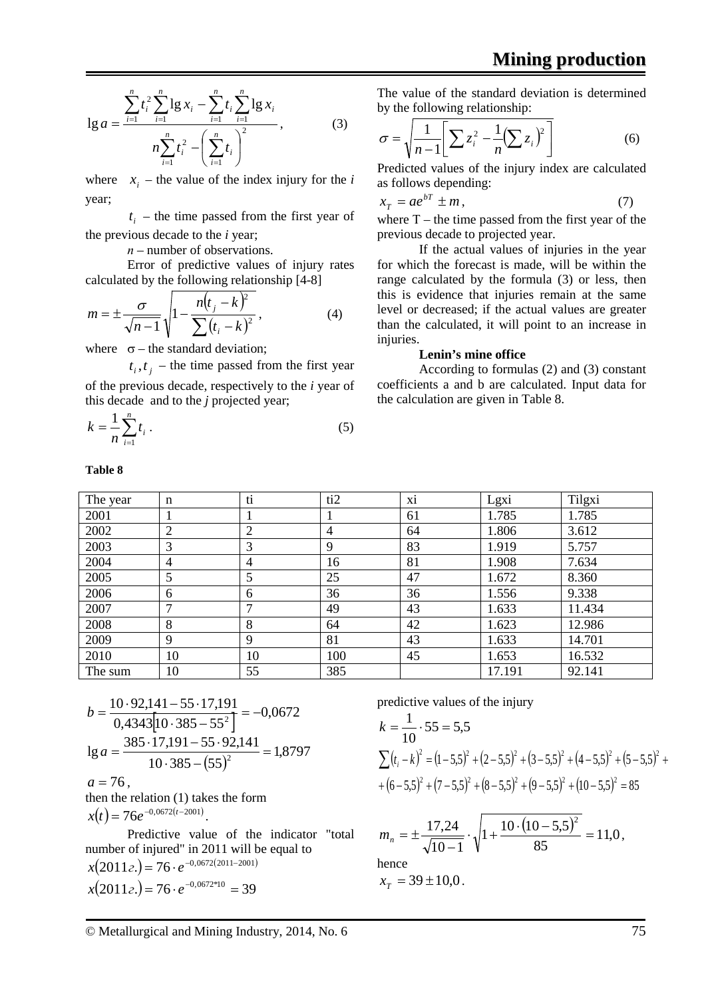$$
\lg a = \frac{\sum_{i=1}^{n} t_i^2 \sum_{i=1}^{n} \lg x_i - \sum_{i=1}^{n} t_i \sum_{i=1}^{n} \lg x_i}{n \sum_{i=1}^{n} t_i^2 - \left(\sum_{i=1}^{n} t_i\right)^2},
$$
(3)

where  $x_i$  – the value of the index injury for the *i* year;

 $t_i$  – the time passed from the first year of the previous decade to the *i* year;

*п* – number of observations.

Error of predictive values of injury rates calculated by the following relationship [4-8]

$$
m = \pm \frac{\sigma}{\sqrt{n-1}} \sqrt{1 - \frac{n(t_j - k)^2}{\sum (t_i - k)^2}},
$$
 (4)

where  $\sigma$  – the standard deviation;

**Table 8**

 $t_i, t_j$  – the time passed from the first year

of the previous decade, respectively to the *i* year of this decade and to the *j* projected year;

$$
k = \frac{1}{n} \sum_{i=1}^{n} t_i \,. \tag{5}
$$

The value of the standard deviation is determined by the following relationship:

$$
\sigma = \sqrt{\frac{1}{n-1} \left[ \sum z_i^2 - \frac{1}{n} (\sum z_i)^2 \right]}
$$
 (6)

Predicted values of the injury index are calculated as follows depending:

$$
x_T = ae^{bT} \pm m \,,\tag{7}
$$

where  $T$  – the time passed from the first year of the previous decade to projected year.

If the actual values of injuries in the year for which the forecast is made, will be within the range calculated by the formula (3) or less, then this is evidence that injuries remain at the same level or decreased; if the actual values are greater than the calculated, it will point to an increase in injuries.

### **Lenin's mine office**

According to formulas (2) and (3) constant coefficients a and b are calculated. Input data for the calculation are given in Table 8.

| The year | n              | ti | ti2 | Xİ | Lgxi   | Tilgxi |
|----------|----------------|----|-----|----|--------|--------|
| 2001     |                |    |     | 61 | 1.785  | 1.785  |
| 2002     | ↑              | ⌒  | 4   | 64 | 1.806  | 3.612  |
| 2003     | 3              | 3  | 9   | 83 | 1.919  | 5.757  |
| 2004     | $\overline{4}$ | 4  | 16  | 81 | 1.908  | 7.634  |
| 2005     | 5              | 5  | 25  | 47 | 1.672  | 8.360  |
| 2006     | 6              | 6  | 36  | 36 | 1.556  | 9.338  |
| 2007     | $\mathbf{r}$   |    | 49  | 43 | 1.633  | 11.434 |
| 2008     | 8              | 8  | 64  | 42 | 1.623  | 12.986 |
| 2009     | $\mathbf Q$    | 9  | 81  | 43 | 1.633  | 14.701 |
| 2010     | 10             | 10 | 100 | 45 | 1.653  | 16.532 |
| The sum  | 10             | 55 | 385 |    | 17.191 | 92.141 |

$$
b = \frac{10 \cdot 92,141 - 55 \cdot 17,191}{0,4343[10 \cdot 385 - 55^2]} = -0,0672
$$
  
\n
$$
\lg a = \frac{385 \cdot 17,191 - 55 \cdot 92,141}{10 \cdot 385 - (55)^2} = 1,8797
$$
  
\n
$$
a = 76,
$$
  
\nthen the relation (1) takes the form  
\n
$$
x(t) = 76e^{-0,0672(t-2001)}.
$$

Predictive value of the indicator "total number of injured" in 2011 will be equal to  $x(2011e) = 76 \cdot e^{-0.0672(2011 - 2001)}$  $x(2011e) = 76 \cdot e^{-0.0672*10} = 39$ 

predictive values of the injury

$$
k = \frac{1}{10} \cdot 55 = 5,5
$$
  
\n
$$
\sum (t_i - k)^2 = (1 - 5,5)^2 + (2 - 5,5)^2 + (3 - 5,5)^2 + (4 - 5,5)^2 + (5 - 5,5)^2 + (6 - 5,5)^2 + (7 - 5,5)^2 + (8 - 5,5)^2 + (9 - 5,5)^2 + (10 - 5,5)^2 = 85
$$

$$
m_n = \pm \frac{17,24}{\sqrt{10-1}} \cdot \sqrt{1 + \frac{10 \cdot (10 - 5,5)^2}{85}} = 11,0,
$$
  
hence  

$$
x_r = 39 \pm 10,0.
$$

© Metallurgical and Mining Industry, 2014, No. 6 75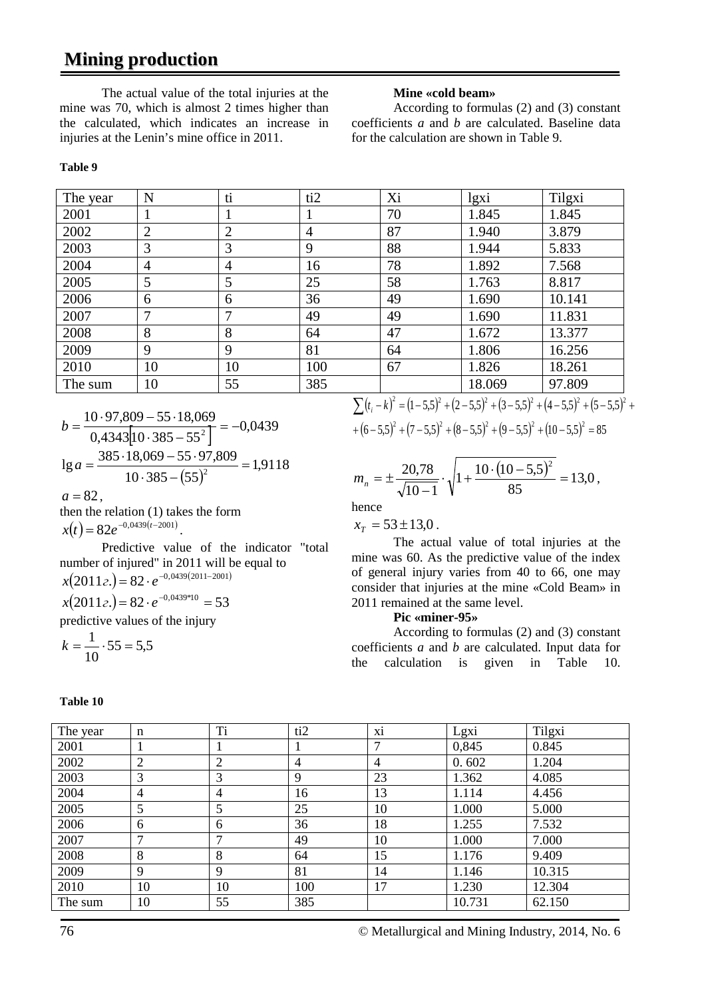# **Mining production**

The actual value of the total injuries at the mine was 70, which is almost 2 times higher than the calculated, which indicates an increase in injuries at the Lenin's mine office in 2011.

#### **Mine «cold beam»**

According to formulas (2) and (3) constant coefficients *a* and *b* are calculated. Baseline data for the calculation are shown in Table 9.

#### **Table 9**

| The year | N              | ti             | ti2            | Xi | lgxi   | Tilgxi |
|----------|----------------|----------------|----------------|----|--------|--------|
| 2001     |                |                |                | 70 | 1.845  | 1.845  |
| 2002     | $\overline{2}$ | $\overline{2}$ | $\overline{4}$ | 87 | 1.940  | 3.879  |
| 2003     | 3              | 3              | 9              | 88 | 1.944  | 5.833  |
| 2004     | $\overline{4}$ | $\overline{4}$ | 16             | 78 | 1.892  | 7.568  |
| 2005     | 5              | 5              | 25             | 58 | 1.763  | 8.817  |
| 2006     | 6              | 6              | 36             | 49 | 1.690  | 10.141 |
| 2007     |                | 7              | 49             | 49 | 1.690  | 11.831 |
| 2008     | 8              | 8              | 64             | 47 | 1.672  | 13.377 |
| 2009     | 9              | 9              | 81             | 64 | 1.806  | 16.256 |
| 2010     | 10             | 10             | 100            | 67 | 1.826  | 18.261 |
| The sum  | 10             | 55             | 385            |    | 18.069 | 97.809 |

$$
b = \frac{10 \cdot 97,809 - 55 \cdot 18,069}{0,4343[10 \cdot 385 - 55^{2}]} = -0,0439
$$
  
\n
$$
\lg a = \frac{385 \cdot 18,069 - 55 \cdot 97,809}{10 \cdot 385 - (55)^{2}} = 1,9118
$$
  
\n
$$
a = 82,
$$

then the relation (1) takes the form  $x(t) = 82e^{-0.0439(t-2001)}$ 

Predictive value of the indicator "total number of injured" in 2011 will be equal to  $x(2011e.) = 82 \cdot e^{-0.0439(2011 - 2001)}$  $x(2011e) = 82 \cdot e^{-0.0439*10} = 53$ 

predictive values of the injury

$$
k = \frac{1}{10} \cdot 55 = 5,5
$$

 $\sum (t_i - k)^2 = (1 - 5.5)^2 + (2 - 5.5)^2 + (3 - 5.5)^2 + (4 - 5.5)^2 + (5 - 5.5)^2 +$  $+(6-5,5)^2+(7-5,5)^2+(8-5,5)^2+(9-5,5)^2+(10-5,5)^2=85$ 

$$
m_n = \pm \frac{20.78}{\sqrt{10 - 1}} \cdot \sqrt{1 + \frac{10 \cdot (10 - 5.5)^2}{85}} = 13.0
$$

hence

 $x_r = 53 \pm 13,0$ .

The actual value of total injuries at the mine was 60. As the predictive value of the index of general injury varies from 40 to 66, one may consider that injuries at the mine «Cold Beam» in 2011 remained at the same level.

### **Pic «miner-95»**

According to formulas (2) and (3) constant coefficients *a* and *b* are calculated. Input data for the calculation is given in Table 10.

| The year | $\mathbf n$    | Ti             | ti <sub>2</sub> | X1             | Lgxi   | Tilgxi |
|----------|----------------|----------------|-----------------|----------------|--------|--------|
| 2001     |                |                |                 | 7              | 0,845  | 0.845  |
| 2002     | $\overline{2}$ | $\overline{2}$ | $\overline{4}$  | $\overline{4}$ | 0.602  | 1.204  |
| 2003     | 3              | 3              | 9               | 23             | 1.362  | 4.085  |
| 2004     | $\overline{4}$ | 4              | 16              | 13             | 1.114  | 4.456  |
| 2005     | 5              | 5              | 25              | 10             | 1.000  | 5.000  |
| 2006     | 6              | 6              | 36              | 18             | 1.255  | 7.532  |
| 2007     | $\mathcal{I}$  | ⇁              | 49              | 10             | 1.000  | 7.000  |
| 2008     | 8              | 8              | 64              | 15             | 1.176  | 9.409  |
| 2009     | 9              | 9              | 81              | 14             | 1.146  | 10.315 |
| 2010     | 10             | 10             | 100             | 17             | 1.230  | 12.304 |
| The sum  | 10             | 55             | 385             |                | 10.731 | 62.150 |
|          |                |                |                 |                |        |        |